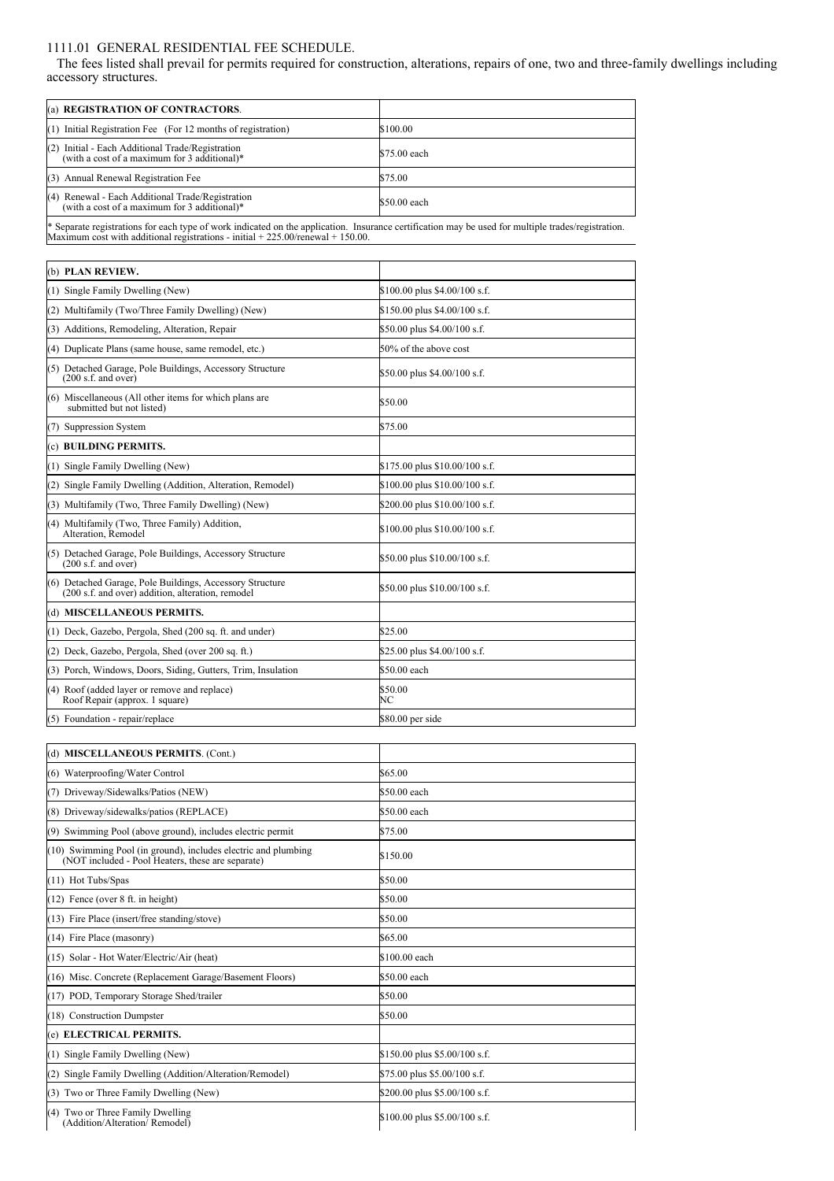## 1111.01 GENERAL RESIDENTIAL FEE SCHEDULE.

The fees listed shall prevail for permits required for construction, alterations, repairs of one, two and three-family dwellings including accessory structures.

| accessory structures.                                                                                                                                                                                                                     |                                |
|-------------------------------------------------------------------------------------------------------------------------------------------------------------------------------------------------------------------------------------------|--------------------------------|
| (a) REGISTRATION OF CONTRACTORS.                                                                                                                                                                                                          |                                |
| (1) Initial Registration Fee (For 12 months of registration)                                                                                                                                                                              | \$100.00                       |
| (2) Initial - Each Additional Trade/Registration<br>(with a cost of a maximum for 3 additional)*                                                                                                                                          | \$75.00 each                   |
| (3) Annual Renewal Registration Fee                                                                                                                                                                                                       | \$75.00                        |
| (4) Renewal - Each Additional Trade/Registration<br>(with a cost of a maximum for 3 additional)*                                                                                                                                          | \$50.00 each                   |
| * Separate registrations for each type of work indicated on the application. Insurance certification may be used for multiple trades/registration.<br>Maximum cost with additional registrations - initial $+225.00$ /renewal $+150.00$ . |                                |
| (b) PLAN REVIEW.                                                                                                                                                                                                                          |                                |
| (1) Single Family Dwelling (New)                                                                                                                                                                                                          | \$100.00 plus \$4.00/100 s.f.  |
| (2) Multifamily (Two/Three Family Dwelling) (New)                                                                                                                                                                                         | \$150.00 plus \$4.00/100 s.f.  |
| (3) Additions, Remodeling, Alteration, Repair                                                                                                                                                                                             | \$50.00 plus \$4.00/100 s.f.   |
| (4) Duplicate Plans (same house, same remodel, etc.)                                                                                                                                                                                      | 50% of the above cost          |
| (5) Detached Garage, Pole Buildings, Accessory Structure<br>(200 s.f. and over)                                                                                                                                                           | \$50.00 plus \$4.00/100 s.f.   |
| (6) Miscellaneous (All other items for which plans are<br>submitted but not listed)                                                                                                                                                       | \$50.00                        |
| (7) Suppression System                                                                                                                                                                                                                    | \$75.00                        |
| (c) BUILDING PERMITS.                                                                                                                                                                                                                     |                                |
| (1) Single Family Dwelling (New)                                                                                                                                                                                                          | \$175.00 plus \$10.00/100 s.f. |
| (2) Single Family Dwelling (Addition, Alteration, Remodel)                                                                                                                                                                                | \$100.00 plus \$10.00/100 s.f. |
| (3) Multifamily (Two, Three Family Dwelling) (New)                                                                                                                                                                                        | \$200.00 plus \$10.00/100 s.f. |
| (4) Multifamily (Two, Three Family) Addition,<br>Alteration, Remodel                                                                                                                                                                      | \$100.00 plus \$10.00/100 s.f. |
| (5) Detached Garage, Pole Buildings, Accessory Structure<br>(200 s.f. and over)                                                                                                                                                           | \$50.00 plus \$10.00/100 s.f.  |
| (6) Detached Garage, Pole Buildings, Accessory Structure<br>(200 s.f. and over) addition, alteration, remodel                                                                                                                             | \$50.00 plus \$10.00/100 s.f.  |
| (d) MISCELLANEOUS PERMITS.                                                                                                                                                                                                                |                                |
| (1) Deck, Gazebo, Pergola, Shed (200 sq. ft. and under)                                                                                                                                                                                   | \$25.00                        |
| (2) Deck, Gazebo, Pergola, Shed (over 200 sq. ft.)                                                                                                                                                                                        | \$25.00 plus \$4.00/100 s.f.   |
| (3) Porch, Windows, Doors, Siding, Gutters, Trim, Insulation                                                                                                                                                                              | \$50.00 each                   |
| (4) Roof (added layer or remove and replace)<br>Roof Repair (approx. 1 square)                                                                                                                                                            | \$50.00<br>NС                  |
| (5) Foundation - repair/replace                                                                                                                                                                                                           | \$80.00 per side               |
| (d) MISCELLANEOUS PERMITS. (Cont.)                                                                                                                                                                                                        |                                |
| (6) Waterproofing/Water Control                                                                                                                                                                                                           | \$65.00                        |
| 7) Driveway/Sidewalks/Patios (NEW)                                                                                                                                                                                                        | \$50.00 each                   |
| (8) Driveway/sidewalks/patios (REPLACE)                                                                                                                                                                                                   | \$50.00 each                   |
| (9) Swimming Pool (above ground), includes electric permit                                                                                                                                                                                | \$75.00                        |
| (10) Swimming Pool (in ground), includes electric and plumbing<br>(NOT included - Pool Heaters, these are separate)                                                                                                                       | \$150.00                       |
| (11) Hot Tubs/Spas                                                                                                                                                                                                                        | \$50.00                        |
| $(12)$ Fence (over 8 ft. in height)                                                                                                                                                                                                       | \$50.00                        |

|  |  | (4) Two or Three Family Dwelling |  |
|--|--|----------------------------------|--|
|  |  |                                  |  |

(13) Fire Place (insert/free standing/stove) \$50.00 (14) Fire Place (masonry)  $$65.00$ (15) Solar - Hot Water/Electric/Air (heat) \$100.00 each (16) Misc. Concrete (Replacement Garage/Basement Floors) \$50.00 each (17) POD, Temporary Storage Shed/trailer \$50.00 (18) Construction Dumpster \$50.00

(1) Single Family Dwelling (New)  $$150.00$  plus \$5.00/100 s.f. (2) Single Family Dwelling (Addition/Alteration/Remodel) \$75.00 plus \$5.00/100 s.f. (3) Two or Three Family Dwelling (New)  $$200.00$  plus \$5.00/100 s.f.

\$100.00 plus \$5.00/100 s.f.

(Addition/Alteration/ Remodel)  $\mathbf{I}$ 

(e) **ELECTRICAL PERMITS.**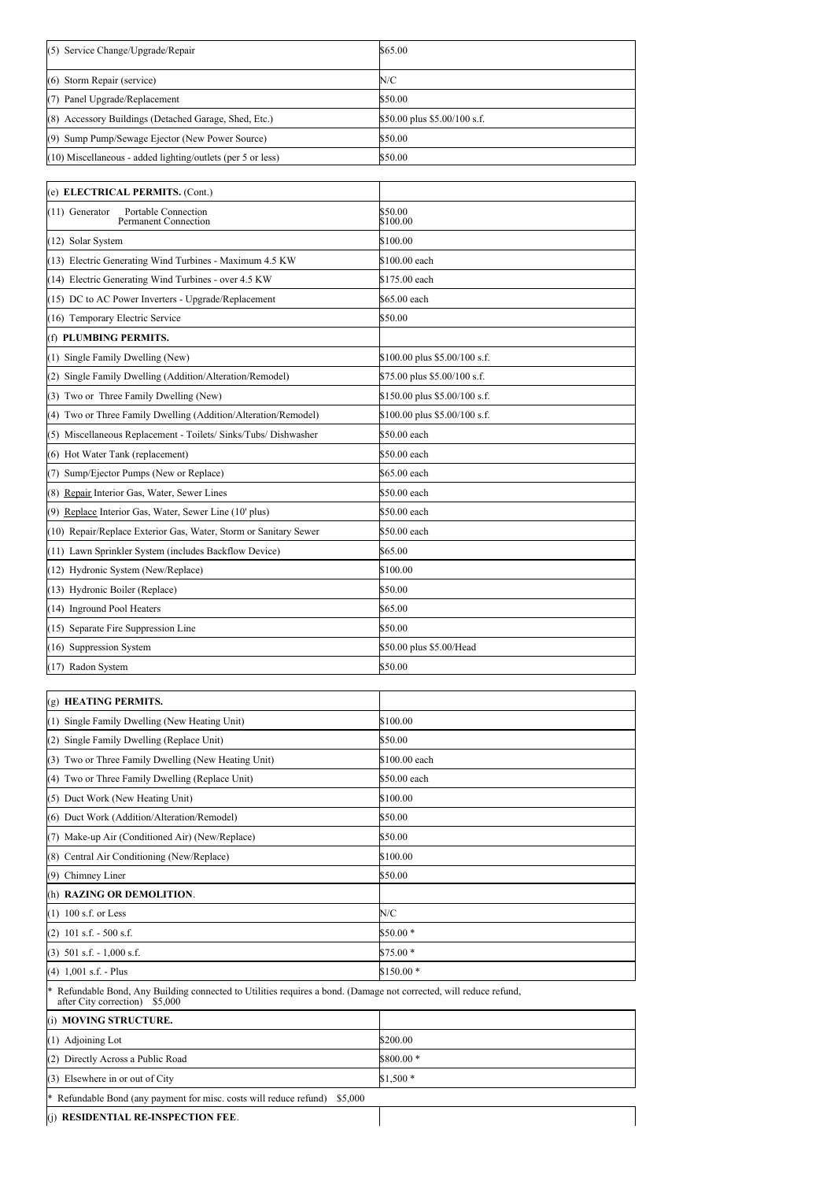| (5) Service Change/Upgrade/Repair                           | \$65.00                      |
|-------------------------------------------------------------|------------------------------|
| (6) Storm Repair (service)                                  | N/C                          |
| Panel Upgrade/Replacement<br>(7)                            | \$50.00                      |
| (8) Accessory Buildings (Detached Garage, Shed, Etc.)       | \$50.00 plus \$5.00/100 s.f. |
| (9) Sump Pump/Sewage Ejector (New Power Source)             | \$50.00                      |
| (10) Miscellaneous - added lighting/outlets (per 5 or less) | \$50.00                      |

| (e) ELECTRICAL PERMITS. (Cont.)                                      |                               |
|----------------------------------------------------------------------|-------------------------------|
| Portable Connection<br>(11) Generator<br><b>Permanent Connection</b> | \$50.00<br>\$100.00           |
| (12) Solar System                                                    | \$100.00                      |
| (13) Electric Generating Wind Turbines - Maximum 4.5 KW              | \$100.00 each                 |
| (14) Electric Generating Wind Turbines - over 4.5 KW                 | \$175.00 each                 |
| (15) DC to AC Power Inverters - Upgrade/Replacement                  | \$65.00 each                  |
| (16) Temporary Electric Service                                      | \$50.00                       |
| (f) PLUMBING PERMITS.                                                |                               |
| (1) Single Family Dwelling (New)                                     | \$100.00 plus \$5.00/100 s.f. |
| (2) Single Family Dwelling (Addition/Alteration/Remodel)             | \$75.00 plus \$5.00/100 s.f.  |
| (3) Two or Three Family Dwelling (New)                               | \$150.00 plus \$5.00/100 s.f. |
| (4) Two or Three Family Dwelling (Addition/Alteration/Remodel)       | \$100.00 plus \$5.00/100 s.f. |
| (5) Miscellaneous Replacement - Toilets/ Sinks/Tubs/ Dishwasher      | \$50.00 each                  |
| (6) Hot Water Tank (replacement)                                     | \$50.00 each                  |
| (7) Sump/Ejector Pumps (New or Replace)                              | \$65.00 each                  |
| (8) Repair Interior Gas, Water, Sewer Lines                          | \$50.00 each                  |
| (9) Replace Interior Gas, Water, Sewer Line (10' plus)               | \$50.00 each                  |
| (10) Repair/Replace Exterior Gas, Water, Storm or Sanitary Sewer     | \$50.00 each                  |
| (11) Lawn Sprinkler System (includes Backflow Device)                | \$65.00                       |
| (12) Hydronic System (New/Replace)                                   | \$100.00                      |
| (13) Hydronic Boiler (Replace)                                       | \$50.00                       |
| (14) Inground Pool Heaters                                           | \$65.00                       |
| (15) Separate Fire Suppression Line                                  | \$50.00                       |
| (16) Suppression System                                              | \$50.00 plus \$5.00/Head      |
| (17) Radon System                                                    | \$50.00                       |

| (g) HEATING PERMITS.                                                                                                                                       |               |
|------------------------------------------------------------------------------------------------------------------------------------------------------------|---------------|
| (1) Single Family Dwelling (New Heating Unit)                                                                                                              | \$100.00      |
| (2) Single Family Dwelling (Replace Unit)                                                                                                                  | \$50.00       |
| (3) Two or Three Family Dwelling (New Heating Unit)                                                                                                        | \$100.00 each |
| (4) Two or Three Family Dwelling (Replace Unit)                                                                                                            | \$50.00 each  |
| (5) Duct Work (New Heating Unit)                                                                                                                           | \$100.00      |
| (6) Duct Work (Addition/Alteration/Remodel)                                                                                                                | \$50.00       |
| (7) Make-up Air (Conditioned Air) (New/Replace)                                                                                                            | \$50.00       |
| (8) Central Air Conditioning (New/Replace)                                                                                                                 | \$100.00      |
| Chimney Liner<br>(9)                                                                                                                                       | \$50.00       |
| (h) RAZING OR DEMOLITION.                                                                                                                                  |               |
| $(1)$ 100 s.f. or Less                                                                                                                                     | N/C           |
| $(2)$ 101 s.f. - 500 s.f.                                                                                                                                  | $$50.00*$     |
| $(3)$ 501 s.f. - 1,000 s.f.                                                                                                                                | $$75.00*$     |
| $(4)$ 1,001 s.f. - Plus                                                                                                                                    | $$150.00*$    |
| Refundable Bond, Any Building connected to Utilities requires a bond. (Damage not corrected, will reduce refund,<br>∗<br>after City correction)<br>\$5,000 |               |

(i) **MOVING STRUCTURE.**  $(1)$  Adjoining Lot  $$200.00$ (2) Directly Across a Public Road \$800.00 \* (3) Elsewhere in or out of City  $$1,500$  \* \* Refundable Bond (any payment for misc. costs will reduce refund) \$5,000

(j) **RESIDENTIAL RE-INSPECTION FEE**.